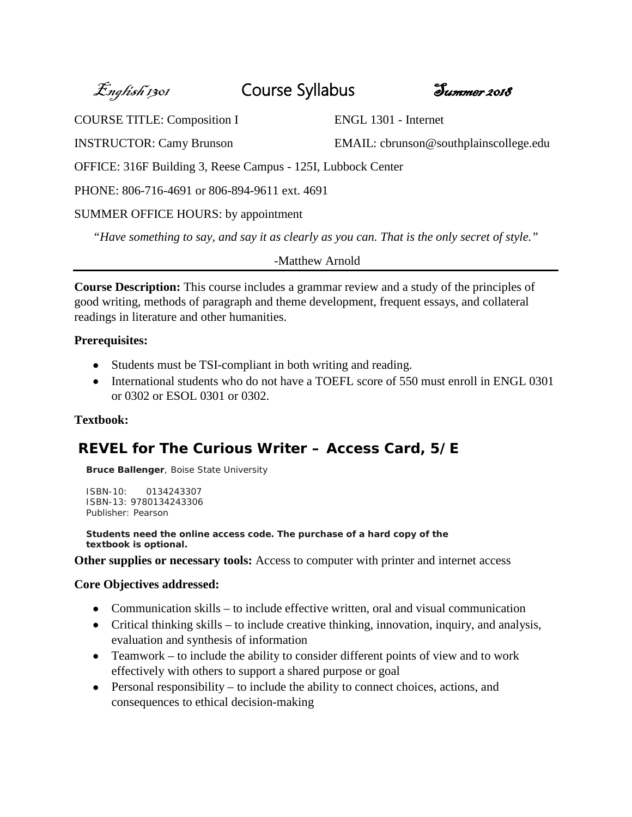English 1301 Course Syllabus Summer 2018



COURSE TITLE: Composition I ENGL 1301 - Internet

INSTRUCTOR: Camy Brunson EMAIL: cbrunson@southplainscollege.edu

OFFICE: 316F Building 3, Reese Campus - 125I, Lubbock Center

PHONE: 806-716-4691 or 806-894-9611 ext. 4691

# SUMMER OFFICE HOURS: by appointment

*"Have something to say, and say it as clearly as you can. That is the only secret of style."*

*-*Matthew Arnold

**Course Description:** This course includes a grammar review and a study of the principles of good writing, methods of paragraph and theme development, frequent essays, and collateral readings in literature and other humanities.

# **Prerequisites:**

- Students must be TSI-compliant in both writing and reading.
- International students who do not have a TOEFL score of 550 must enroll in ENGL 0301 or 0302 or ESOL 0301 or 0302.

# **Textbook:**

# **REVEL for The Curious Writer – Access Card, 5/E**

**Bruce Ballenger**, *Boise State University*

```
ISBN-10: 0134243307
ISBN-13: 9780134243306
Publisher: Pearson
```
**Students need the online access code. The purchase of a hard copy of the textbook is optional.** 

**Other supplies or necessary tools:** Access to computer with printer and internet access

# **Core Objectives addressed:**

- Communication skills to include effective written, oral and visual communication
- Critical thinking skills to include creative thinking, innovation, inquiry, and analysis, evaluation and synthesis of information
- Teamwork to include the ability to consider different points of view and to work effectively with others to support a shared purpose or goal
- $\bullet$  Personal responsibility to include the ability to connect choices, actions, and consequences to ethical decision-making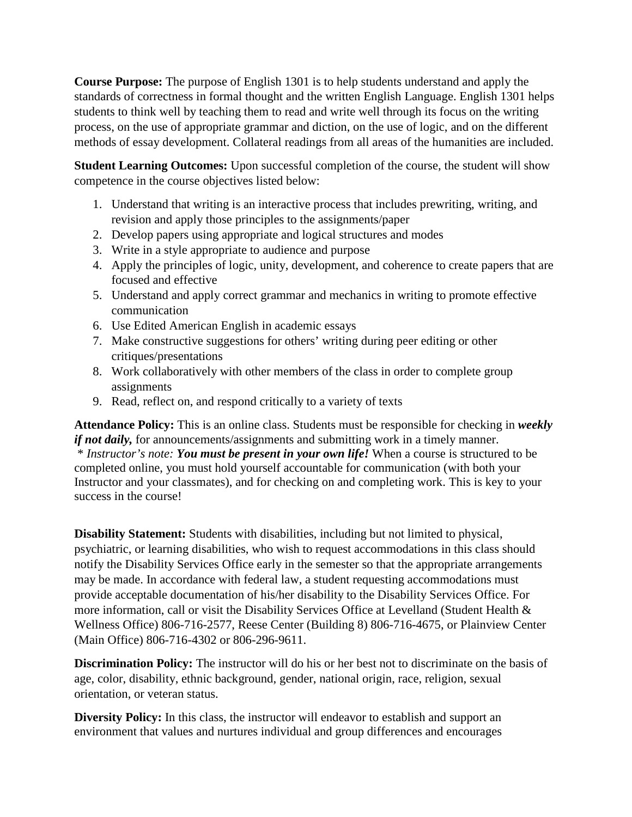**Course Purpose:** The purpose of English 1301 is to help students understand and apply the standards of correctness in formal thought and the written English Language. English 1301 helps students to think well by teaching them to read and write well through its focus on the writing process, on the use of appropriate grammar and diction, on the use of logic, and on the different methods of essay development. Collateral readings from all areas of the humanities are included.

**Student Learning Outcomes:** Upon successful completion of the course, the student will show competence in the course objectives listed below:

- 1. Understand that writing is an interactive process that includes prewriting, writing, and revision and apply those principles to the assignments/paper
- 2. Develop papers using appropriate and logical structures and modes
- 3. Write in a style appropriate to audience and purpose
- 4. Apply the principles of logic, unity, development, and coherence to create papers that are focused and effective
- 5. Understand and apply correct grammar and mechanics in writing to promote effective communication
- 6. Use Edited American English in academic essays
- 7. Make constructive suggestions for others' writing during peer editing or other critiques/presentations
- 8. Work collaboratively with other members of the class in order to complete group assignments
- 9. Read, reflect on, and respond critically to a variety of texts

**Attendance Policy:** This is an online class. Students must be responsible for checking in *weekly if not daily*, for announcements/assignments and submitting work in a timely manner. \* *Instructor's note: You must be present in your own life!* When a course is structured to be completed online, you must hold yourself accountable for communication (with both your Instructor and your classmates), and for checking on and completing work. This is key to your success in the course!

**Disability Statement:** Students with disabilities, including but not limited to physical, psychiatric, or learning disabilities, who wish to request accommodations in this class should notify the Disability Services Office early in the semester so that the appropriate arrangements may be made. In accordance with federal law, a student requesting accommodations must provide acceptable documentation of his/her disability to the Disability Services Office. For more information, call or visit the Disability Services Office at Levelland (Student Health & Wellness Office) 806-716-2577, Reese Center (Building 8) 806-716-4675, or Plainview Center (Main Office) 806-716-4302 or 806-296-9611.

**Discrimination Policy:** The instructor will do his or her best not to discriminate on the basis of age, color, disability, ethnic background, gender, national origin, race, religion, sexual orientation, or veteran status.

**Diversity Policy:** In this class, the instructor will endeavor to establish and support an environment that values and nurtures individual and group differences and encourages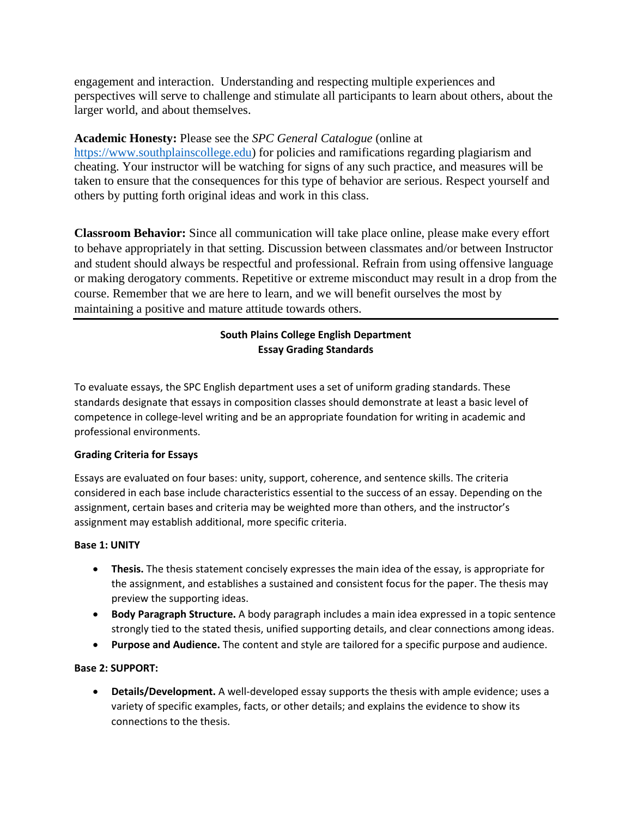engagement and interaction. Understanding and respecting multiple experiences and perspectives will serve to challenge and stimulate all participants to learn about others, about the larger world, and about themselves.

## **Academic Honesty:** Please see the *SPC General Catalogue* (online at

[https://www.southplainscollege.edu\)](https://www.southplainscollege.edu/) for policies and ramifications regarding plagiarism and cheating. Your instructor will be watching for signs of any such practice, and measures will be taken to ensure that the consequences for this type of behavior are serious. Respect yourself and others by putting forth original ideas and work in this class.

**Classroom Behavior:** Since all communication will take place online, please make every effort to behave appropriately in that setting. Discussion between classmates and/or between Instructor and student should always be respectful and professional. Refrain from using offensive language or making derogatory comments. Repetitive or extreme misconduct may result in a drop from the course. Remember that we are here to learn, and we will benefit ourselves the most by maintaining a positive and mature attitude towards others.

## **South Plains College English Department Essay Grading Standards**

To evaluate essays, the SPC English department uses a set of uniform grading standards. These standards designate that essays in composition classes should demonstrate at least a basic level of competence in college-level writing and be an appropriate foundation for writing in academic and professional environments.

## **Grading Criteria for Essays**

Essays are evaluated on four bases: unity, support, coherence, and sentence skills. The criteria considered in each base include characteristics essential to the success of an essay. Depending on the assignment, certain bases and criteria may be weighted more than others, and the instructor's assignment may establish additional, more specific criteria.

## **Base 1: UNITY**

- **Thesis.** The thesis statement concisely expresses the main idea of the essay, is appropriate for the assignment, and establishes a sustained and consistent focus for the paper. The thesis may preview the supporting ideas.
- **Body Paragraph Structure.** A body paragraph includes a main idea expressed in a topic sentence strongly tied to the stated thesis, unified supporting details, and clear connections among ideas.
- **Purpose and Audience.** The content and style are tailored for a specific purpose and audience.

## **Base 2: SUPPORT:**

• **Details/Development.** A well-developed essay supports the thesis with ample evidence; uses a variety of specific examples, facts, or other details; and explains the evidence to show its connections to the thesis.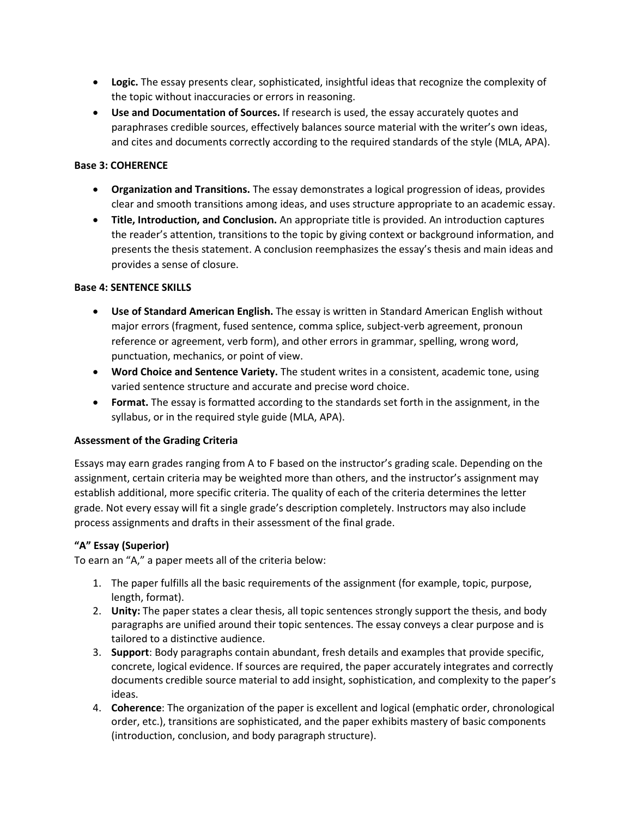- **Logic.** The essay presents clear, sophisticated, insightful ideas that recognize the complexity of the topic without inaccuracies or errors in reasoning.
- **Use and Documentation of Sources.** If research is used, the essay accurately quotes and paraphrases credible sources, effectively balances source material with the writer's own ideas, and cites and documents correctly according to the required standards of the style (MLA, APA).

#### **Base 3: COHERENCE**

- **Organization and Transitions.** The essay demonstrates a logical progression of ideas, provides clear and smooth transitions among ideas, and uses structure appropriate to an academic essay.
- **Title, Introduction, and Conclusion.** An appropriate title is provided. An introduction captures the reader's attention, transitions to the topic by giving context or background information, and presents the thesis statement. A conclusion reemphasizes the essay's thesis and main ideas and provides a sense of closure.

#### **Base 4: SENTENCE SKILLS**

- **Use of Standard American English.** The essay is written in Standard American English without major errors (fragment, fused sentence, comma splice, subject-verb agreement, pronoun reference or agreement, verb form), and other errors in grammar, spelling, wrong word, punctuation, mechanics, or point of view.
- **Word Choice and Sentence Variety.** The student writes in a consistent, academic tone, using varied sentence structure and accurate and precise word choice.
- **Format.** The essay is formatted according to the standards set forth in the assignment, in the syllabus, or in the required style guide (MLA, APA).

#### **Assessment of the Grading Criteria**

Essays may earn grades ranging from A to F based on the instructor's grading scale. Depending on the assignment, certain criteria may be weighted more than others, and the instructor's assignment may establish additional, more specific criteria. The quality of each of the criteria determines the letter grade. Not every essay will fit a single grade's description completely. Instructors may also include process assignments and drafts in their assessment of the final grade.

## **"A" Essay (Superior)**

To earn an "A," a paper meets all of the criteria below:

- 1. The paper fulfills all the basic requirements of the assignment (for example, topic, purpose, length, format).
- 2. **Unity:** The paper states a clear thesis, all topic sentences strongly support the thesis, and body paragraphs are unified around their topic sentences. The essay conveys a clear purpose and is tailored to a distinctive audience.
- 3. **Support**: Body paragraphs contain abundant, fresh details and examples that provide specific, concrete, logical evidence. If sources are required, the paper accurately integrates and correctly documents credible source material to add insight, sophistication, and complexity to the paper's ideas.
- 4. **Coherence**: The organization of the paper is excellent and logical (emphatic order, chronological order, etc.), transitions are sophisticated, and the paper exhibits mastery of basic components (introduction, conclusion, and body paragraph structure).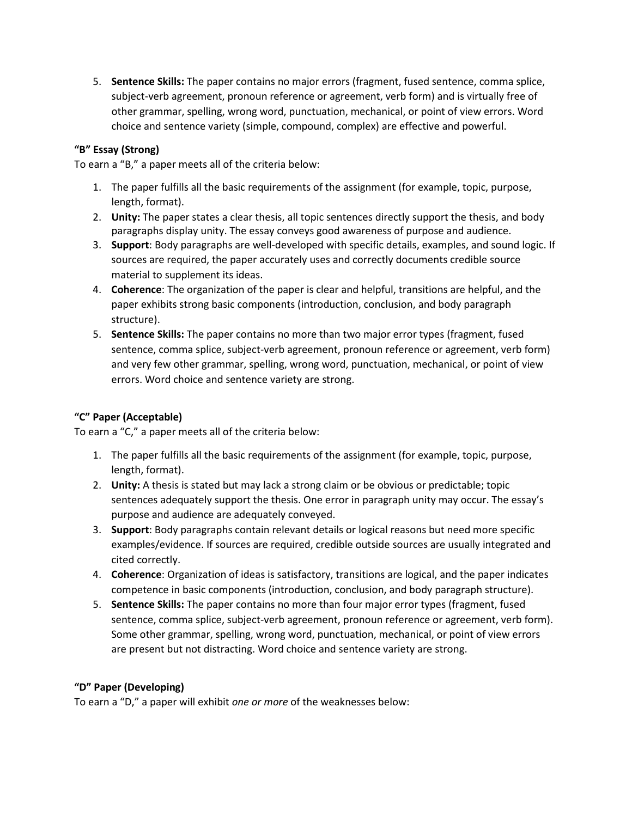5. **Sentence Skills:** The paper contains no major errors (fragment, fused sentence, comma splice, subject-verb agreement, pronoun reference or agreement, verb form) and is virtually free of other grammar, spelling, wrong word, punctuation, mechanical, or point of view errors. Word choice and sentence variety (simple, compound, complex) are effective and powerful.

## **"B" Essay (Strong)**

To earn a "B," a paper meets all of the criteria below:

- 1. The paper fulfills all the basic requirements of the assignment (for example, topic, purpose, length, format).
- 2. **Unity:** The paper states a clear thesis, all topic sentences directly support the thesis, and body paragraphs display unity. The essay conveys good awareness of purpose and audience.
- 3. **Support**: Body paragraphs are well-developed with specific details, examples, and sound logic. If sources are required, the paper accurately uses and correctly documents credible source material to supplement its ideas.
- 4. **Coherence**: The organization of the paper is clear and helpful, transitions are helpful, and the paper exhibits strong basic components (introduction, conclusion, and body paragraph structure).
- 5. **Sentence Skills:** The paper contains no more than two major error types (fragment, fused sentence, comma splice, subject-verb agreement, pronoun reference or agreement, verb form) and very few other grammar, spelling, wrong word, punctuation, mechanical, or point of view errors. Word choice and sentence variety are strong.

## **"C" Paper (Acceptable)**

To earn a "C," a paper meets all of the criteria below:

- 1. The paper fulfills all the basic requirements of the assignment (for example, topic, purpose, length, format).
- 2. **Unity:** A thesis is stated but may lack a strong claim or be obvious or predictable; topic sentences adequately support the thesis. One error in paragraph unity may occur. The essay's purpose and audience are adequately conveyed.
- 3. **Support**: Body paragraphs contain relevant details or logical reasons but need more specific examples/evidence. If sources are required, credible outside sources are usually integrated and cited correctly.
- 4. **Coherence**: Organization of ideas is satisfactory, transitions are logical, and the paper indicates competence in basic components (introduction, conclusion, and body paragraph structure).
- 5. **Sentence Skills:** The paper contains no more than four major error types (fragment, fused sentence, comma splice, subject-verb agreement, pronoun reference or agreement, verb form). Some other grammar, spelling, wrong word, punctuation, mechanical, or point of view errors are present but not distracting. Word choice and sentence variety are strong.

## **"D" Paper (Developing)**

To earn a "D," a paper will exhibit *one or more* of the weaknesses below: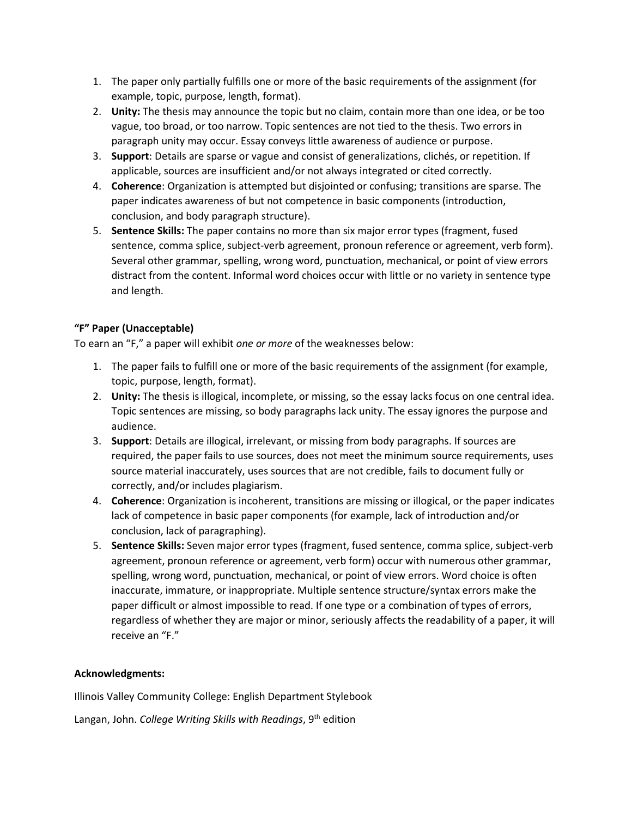- 1. The paper only partially fulfills one or more of the basic requirements of the assignment (for example, topic, purpose, length, format).
- 2. **Unity:** The thesis may announce the topic but no claim, contain more than one idea, or be too vague, too broad, or too narrow. Topic sentences are not tied to the thesis. Two errors in paragraph unity may occur. Essay conveys little awareness of audience or purpose.
- 3. **Support**: Details are sparse or vague and consist of generalizations, clichés, or repetition. If applicable, sources are insufficient and/or not always integrated or cited correctly.
- 4. **Coherence**: Organization is attempted but disjointed or confusing; transitions are sparse. The paper indicates awareness of but not competence in basic components (introduction, conclusion, and body paragraph structure).
- 5. **Sentence Skills:** The paper contains no more than six major error types (fragment, fused sentence, comma splice, subject-verb agreement, pronoun reference or agreement, verb form). Several other grammar, spelling, wrong word, punctuation, mechanical, or point of view errors distract from the content. Informal word choices occur with little or no variety in sentence type and length.

## **"F" Paper (Unacceptable)**

To earn an "F," a paper will exhibit *one or more* of the weaknesses below:

- 1. The paper fails to fulfill one or more of the basic requirements of the assignment (for example, topic, purpose, length, format).
- 2. **Unity:** The thesis is illogical, incomplete, or missing, so the essay lacks focus on one central idea. Topic sentences are missing, so body paragraphs lack unity. The essay ignores the purpose and audience.
- 3. **Support**: Details are illogical, irrelevant, or missing from body paragraphs. If sources are required, the paper fails to use sources, does not meet the minimum source requirements, uses source material inaccurately, uses sources that are not credible, fails to document fully or correctly, and/or includes plagiarism.
- 4. **Coherence**: Organization is incoherent, transitions are missing or illogical, or the paper indicates lack of competence in basic paper components (for example, lack of introduction and/or conclusion, lack of paragraphing).
- 5. **Sentence Skills:** Seven major error types (fragment, fused sentence, comma splice, subject-verb agreement, pronoun reference or agreement, verb form) occur with numerous other grammar, spelling, wrong word, punctuation, mechanical, or point of view errors. Word choice is often inaccurate, immature, or inappropriate. Multiple sentence structure/syntax errors make the paper difficult or almost impossible to read. If one type or a combination of types of errors, regardless of whether they are major or minor, seriously affects the readability of a paper, it will receive an "F."

#### **Acknowledgments:**

Illinois Valley Community College: English Department Stylebook

Langan, John. *College Writing Skills with Readings*, 9th edition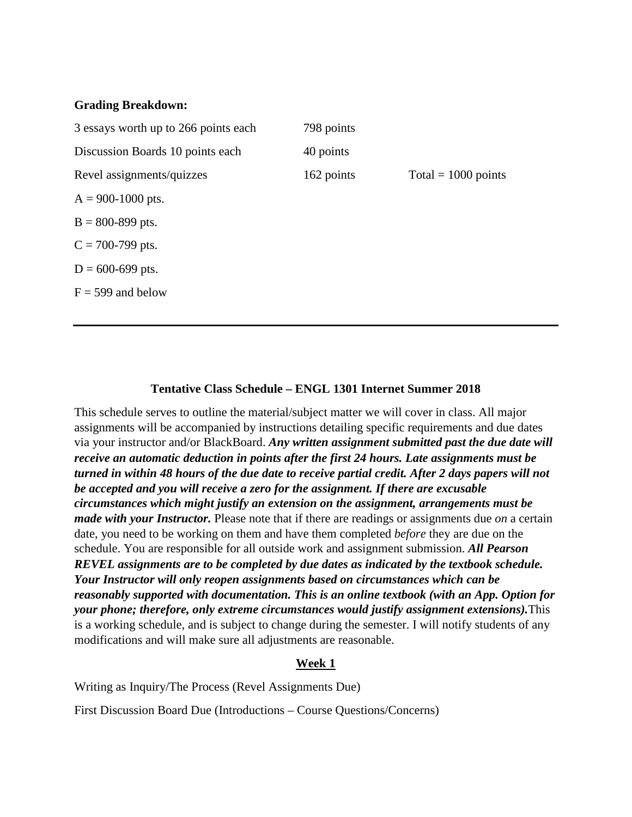#### **Grading Breakdown:**

| 3 essays worth up to 266 points each | 798 points |                       |
|--------------------------------------|------------|-----------------------|
| Discussion Boards 10 points each     | 40 points  |                       |
| Revel assignments/quizzes            | 162 points | Total = $1000$ points |
| $A = 900-1000$ pts.                  |            |                       |
| $B = 800 - 899$ pts.                 |            |                       |
| $C = 700-799$ pts.                   |            |                       |
| $D = 600 - 699$ pts.                 |            |                       |
| $F = 599$ and below                  |            |                       |
|                                      |            |                       |

## **Tentative Class Schedule – ENGL 1301 Internet Summer 2018**

This schedule serves to outline the material/subject matter we will cover in class. All major assignments will be accompanied by instructions detailing specific requirements and due dates via your instructor and/or BlackBoard. *Any written assignment submitted past the due date will receive an automatic deduction in points after the first 24 hours. Late assignments must be turned in within 48 hours of the due date to receive partial credit. After 2 days papers will not be accepted and you will receive a zero for the assignment. If there are excusable circumstances which might justify an extension on the assignment, arrangements must be made with your Instructor.* Please note that if there are readings or assignments due *on* a certain date, you need to be working on them and have them completed *before* they are due on the schedule. You are responsible for all outside work and assignment submission. *All Pearson REVEL assignments are to be completed by due dates as indicated by the textbook schedule. Your Instructor will only reopen assignments based on circumstances which can be reasonably supported with documentation. This is an online textbook (with an App. Option for your phone; therefore, only extreme circumstances would justify assignment extensions).*This is a working schedule, and is subject to change during the semester. I will notify students of any modifications and will make sure all adjustments are reasonable.

## **Week 1**

Writing as Inquiry/The Process (Revel Assignments Due)

First Discussion Board Due (Introductions – Course Questions/Concerns)